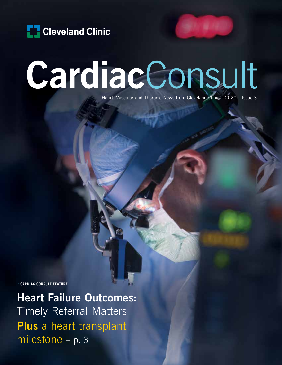

# CardiacConsult

Heart, Vascular and Thoracic News from Cleveland Clinic | 2020 | Issue 3

› **CARDIAC CONSULT FEATURE**

**Heart Failure Outcomes:**  Timely Referral Matters **Plus** a heart transplant milestone – p. 3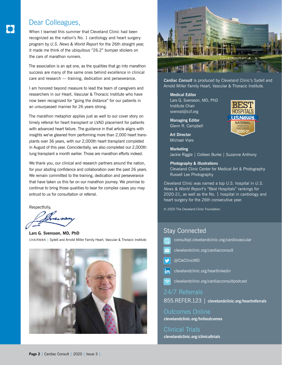#### Dear Colleagues,

When I learned this summer that Cleveland Clinic had been recognized as the nation's No. 1 cardiology and heart surgery program by *U.S. News & World Report* for the 26th straight year, it made me think of the ubiquitous "26.2" bumper stickers on the cars of marathon runners.

The association is an apt one, as the qualities that go into marathon success are many of the same ones behind excellence in clinical care and research — training, dedication and perseverance.

I am honored beyond measure to lead the team of caregivers and researchers in our Heart, Vascular & Thoracic Institute who have now been recognized for "going the distance" for our patients in an unsurpassed manner for 26 years strong.

The marathon metaphor applies just as well to our cover story on timely referral for heart transplant or LVAD placement for patients with advanced heart failure. The guidance in that article aligns with insights we've gleaned from performing more than 2,000 heart transplants over 36 years, with our 2,000th heart transplant completed in August of this year. Coincidentally, we also completed our 2,000th lung transplant a month earlier. Those are marathon efforts indeed.

We thank you, our clinical and research partners around the nation, for your abiding confidence and collaboration over the past 26 years. We remain committed to the training, dedication and perseverance that have taken us this far on our marathon journey. We promise to continue to bring those qualities to bear for complex cases you may entrust to us for consultation or referral.

Respectfully,

**Lars G. Svensson, MD, PhD** CHAIRMAN | Sydell and Arnold Miller Family Heart, Vascular & Thoracic Institute





*Cardiac Consult* is produced by Cleveland Clinic's Sydell and Arnold Miller Family Heart, Vascular & Thoracic Institute.

**Medical Editor**

Lars G. Svensson, MD, PhD Institute Chair svenssl@ccf.org

**Managing Editor** Glenn R. Campbell

**Art Director** Michael Viars

**Marketing** Jackie Riggle | Colleen Burke | Suzanne Anthony

#### **Photography & Illustrations**

Cleveland Clinic Center for Medical Art & Photography Russell Lee Photography

Cleveland Clinic was named a top U.S. hospital in *U.S. News & World Report*'s "Best Hospitals" rankings for 2020-21, as well as the No. 1 hospital in cardiology and heart surgery for the 26th consecutive year.

© 2020 The Cleveland Clinic Foundation

#### Stay Connected

- consultqd.clevelandclinic.org/cardiovascular
- clevelandclinic.org/cardiacconsult
- @CleClinicMD
- $\left| \mathbf{in} \right|$ clevelandclinic.org/heartlinkedin
- clevelandclinic.org/cardiacconsultpodcast

24/7 Referrals

855.REFER.123 | **clevelandclinic.org/heartreferrals**

Outcomes Online **clevelandclinic.org/hvtioutcomes**

Clinical Trials **clevelandclinic.org/clinicaltrials**

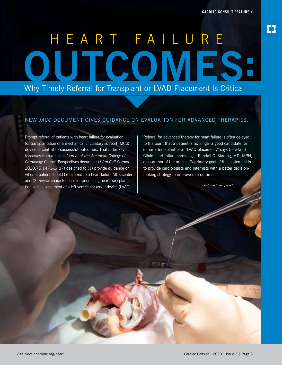# HEART FAILURE OUTCOMES: Why Timely Referral for Transplant or LVAD Placement Is Critical

#### NEW *JACC* DOCUMENT GIVES GUIDANCE ON EVALUATION FOR ADVANCED THERAPIES.

Prompt referral of patients with heart failure for evaluation for transplantation or a mechanical circulatory support (MCS) device is central to successful outcomes. That's the key takeaway from a recent *Journal of the American College of Cardiology* Council Perspectives document (*J Am Coll Cardiol.* 2020;75:1471-1487) designed to (1) provide guidance on when a patient should be referred to a heart failure MCS center and (2) review characteristics for prioritizing heart transplantation versus placement of a left ventricular assist device (LVAD).

"Referral for advanced therapy for heart failure is often delayed to the point that a patient is no longer a good candidate for either a transplant or an LVAD placement," says Cleveland Clinic heart failure cardiologist Randall C. Starling, MD, MPH, a co-author of the article. "A primary goal of this statement is to provide cardiologists and internists with a better decisionmaking strategy to improve referral time."

*Continued next page* ›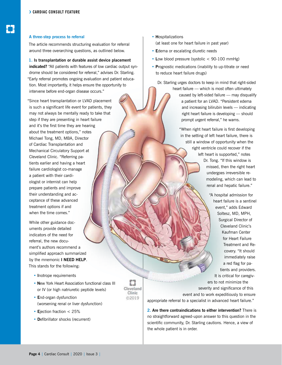#### **A three-step process to referral**

The article recommends structuring evaluation for referral around three overarching questions, as outlined below.

**1. Is transplantation or durable assist device placement indicated?** "All patients with features of low cardiac output syndrome should be considered for referral," advises Dr. Starling. "Early referral promotes ongoing evaluation and patient education. Most importantly, it helps ensure the opportunity to intervene before end-organ disease occurs."

"Since heart transplantation or LVAD placement is such a significant life event for patients, they may not always be mentally ready to take that step if they are presenting in heart failure and it's the first time they are hearing about the treatment options," notes Michael Tong, MD, MBA, Director of Cardiac Transplantation and Mechanical Circulatory Support at Cleveland Clinic. "Referring patients earlier and having a heart failure cardiologist co-manage a patient with their cardiologist or internist can help prepare patients and improve their understanding and acceptance of these advanced treatment options if and when the time comes."

While other guidance documents provide detailed indicators of the need for referral, the new document's authors recommend a simplified approach summarized by the mnemonic **I NEED HELP**. This stands for the following:

- **I**notrope requirements
- **N**ew York Heart Association functional class III or IV (or high natriuretic peptide levels)

n Cleveland Clinic ©2019

- **E**nd-organ dysfunction (worsening renal or liver dysfunction)
- **E**jection fraction < 25%
- **D**efibrillator shocks (recurrent)
- **H**ospitalizations (at least one for heart failure in past year)
- **E**dema or escalating diuretic needs
- **L**ow blood pressure (systolic < 90-100 mmHg)
- **P**rognostic medications (inability to up-titrate or need to reduce heart failure drugs)

Dr. Starling urges doctors to keep in mind that right-sided

heart failure — which is most often ultimately caused by left-sided failure — may disqualify a patient for an LVAD. "Persistent edema and increasing bilirubin levels — indicating right heart failure is developing — should prompt urgent referral," he warns.

"When right heart failure is first developing in the setting of left heart failure, there is still a window of opportunity when the right ventricle could recover if the left heart is supported," notes Dr. Tong. "If this window is missed, then the right heart undergoes irreversible remodeling, which can lead to renal and hepatic failure."

"A hospital admission for heart failure is a sentinel event," adds Edward Soltesz, MD, MPH, Surgical Director of Cleveland Clinic's Kaufman Center for Heart Failure Treatment and Recovery. "It should immediately raise a red flag for patients and providers. It is critical for caregivers to not minimize the severity and significance of this event and to work expeditiously to ensure

appropriate referral to a specialist in advanced heart failure."

**2. Are there contraindications to either intervention?** There is no straightforward agreed-upon answer to this question in the scientific community, Dr. Starling cautions. Hence, a view of the whole patient is in order.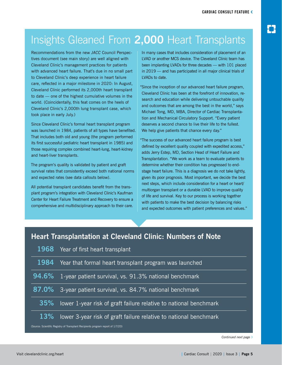## Insights Gleaned From **2,000** Heart Transplants

Recommendations from the new *JACC* Council Perspectives document (see main story) are well aligned with Cleveland Clinic's management practices for patients with advanced heart failure. That's due in no small part to Cleveland Clinic's deep experience in heart failure care, reflected in a major milestone in 2020: In August, Cleveland Clinic performed its 2,000th heart transplant to date — one of the highest cumulative volumes in the world. (Coincidentally, this feat comes on the heels of Cleveland Clinic's 2,000th lung transplant case, which took place in early July.)

Since Cleveland Clinic's formal heart transplant program was launched in 1984, patients of all types have benefited. That includes both old and young (the program performed its first successful pediatric heart transplant in 1985) and those requiring complex combined heart-lung, heart-kidney and heart-liver transplants.

The program's quality is validated by patient and graft survival rates that consistently exceed both national norms and expected rates (see data callouts below).

All potential transplant candidates benefit from the transplant program's integration with Cleveland Clinic's Kaufman Center for Heart Failure Treatment and Recovery to ensure a comprehensive and multidisciplinary approach to their care.

In many cases that includes consideration of placement of an LVAD or another MCS device. The Cleveland Clinic team has been implanting LVADs for three decades — with 101 placed in 2019 — and has participated in all major clinical trials of LVADs to date.

"Since the inception of our advanced heart failure program, Cleveland Clinic has been at the forefront of innovation, research and education while delivering untouchable quality and outcomes that are among the best in the world," says Michael Tong, MD, MBA, Director of Cardiac Transplantation and Mechanical Circulatory Support. "Every patient deserves a second chance to live their life to the fullest. We help give patients that chance every day."

"The success of our advanced heart failure program is best defined by excellent quality coupled with expedited access," adds Jerry Estep, MD, Section Head of Heart Failure and Transplantation. "We work as a team to evaluate patients to determine whether their condition has progressed to endstage heart failure. This is a diagnosis we do not take lightly, given its poor prognosis. Most important, we decide the best next steps, which include consideration for a heart or heart/ multiorgan transplant or a durable LVAD to improve quality of life and survival. Key to our process is working together with patients to make the best decision by balancing risks and expected outcomes with patient preferences and values."

#### **Heart Transplantation at Cleveland Clinic: Numbers of Note**

|                                                                                 | 1968 Year of first heart transplant                               |
|---------------------------------------------------------------------------------|-------------------------------------------------------------------|
| 1984                                                                            | Year that formal heart transplant program was launched            |
| 94.6%                                                                           | 1-year patient survival, vs. 91.3% national benchmark             |
| 87.0%                                                                           | 3-year patient survival, vs. 84.7% national benchmark             |
| 35%                                                                             | lower 1-year risk of graft failure relative to national benchmark |
| <b>13%</b>                                                                      | lower 3-year risk of graft failure relative to national benchmark |
| (Source: Scientific Registry of Transplant Recipients program report of 1/7/20) |                                                                   |

*Continued next page* ›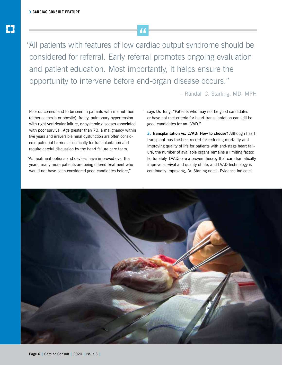"All patients with features of low cardiac output syndrome should be considered for referral. Early referral promotes ongoing evaluation and patient education. Most importantly, it helps ensure the opportunity to intervene before end-organ disease occurs."

– Randall C. Starling, MD, MPH

Poor outcomes tend to be seen in patients with malnutrition (either cachexia or obesity), frailty, pulmonary hypertension with right ventricular failure, or systemic diseases associated with poor survival. Age greater than 70, a malignancy within five years and irreversible renal dysfunction are often considered potential barriers specifically for transplantation and require careful discussion by the heart failure care team.

"As treatment options and devices have improved over the years, many more patients are being offered treatment who would not have been considered good candidates before,"

says Dr. Tong. "Patients who may not be good candidates or have not met criteria for heart transplantation can still be good candidates for an LVAD."

**3. Transplantation vs. LVAD: How to choose?** Although heart transplant has the best record for reducing mortality and improving quality of life for patients with end-stage heart failure, the number of available organs remains a limiting factor. Fortunately, LVADs are a proven therapy that can dramatically improve survival and quality of life, and LVAD technology is continually improving, Dr. Starling notes. Evidence indicates

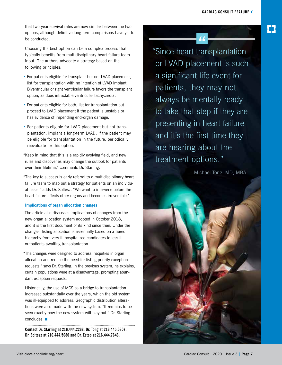that two-year survival rates are now similar between the two options, although definitive long-term comparisons have yet to be conducted.

Choosing the best option can be a complex process that typically benefits from multidisciplinary heart failure team input. The authors advocate a strategy based on the following principles:

- For patients eligible for transplant but not LVAD placement, list for transplantation with no intention of LVAD implant. Biventricular or right ventricular failure favors the transplant option, as does intractable ventricular tachycardia.
- For patients eligible for both, list for transplantation but proceed to LVAD placement if the patient is unstable or has evidence of impending end-organ damage.
- For patients eligible for LVAD placement but not transplantation, implant a long-term LVAD. If the patient may be eligible for transplantation in the future, periodically reevaluate for this option.

"Keep in mind that this is a rapidly evolving field, and new rules and discoveries may change the outlook for patients over their lifetime," comments Dr. Starling.

"The key to success is early referral to a multidisciplinary heart failure team to map out a strategy for patients on an individual basis," adds Dr. Soltesz. "We want to intervene before the heart failure affects other organs and becomes irreversible."

#### **Implications of organ allocation changes**

The article also discusses implications of changes from the new organ allocation system adopted in October 2018, and it is the first document of its kind since then. Under the changes, listing allocation is essentially based on a tiered hierarchy from very ill hospitalized candidates to less ill outpatients awaiting transplantation.

"The changes were designed to address inequities in organ allocation and reduce the need for listing priority exception requests," says Dr. Starling. In the previous system, he explains, certain populations were at a disadvantage, prompting abundant exception requests.

Historically, the use of MCS as a bridge to transplantation increased substantially over the years, which the old system was ill-equipped to address. Geographic distribution alterations were also made with the new system. "It remains to be seen exactly how the new system will play out," Dr. Starling concludes. ■

**Contact Dr. Starling at 216.444.2268, Dr. Tong at 216.445.0807, Dr. Soltesz at 216.444.5680 and Dr. Estep at 216.444.7646.**

"Since heart transplantation or LVAD placement is such a significant life event for patients, they may not always be mentally ready to take that step if they are presenting in heart failure and it's the first time they are hearing about the treatment options."

– Michael Tong, MD, MBA

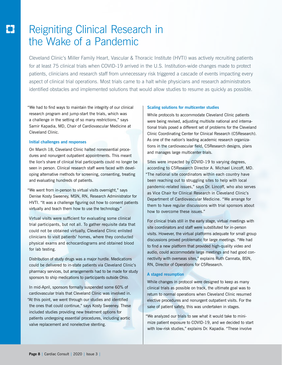# Reigniting Clinical Research in the Wake of a Pandemic

Cleveland Clinic's Miller Family Heart, Vascular & Thoracic Institute (HVTI) was actively recruiting patients for at least 75 clinical trials when COVID-19 arrived in the U.S. Institution-wide changes made to protect patients, clinicians and research staff from unnecessary risk triggered a cascade of events impacting every aspect of clinical trial operations. Most trials came to a halt while physicians and research administrators identified obstacles and implemented solutions that would allow studies to resume as quickly as possible.

"We had to find ways to maintain the integrity of our clinical research program and jump-start the trials, which was a challenge in the setting of so many restrictions," says Samir Kapadia, MD, Chair of Cardiovascular Medicine at Cleveland Clinic.

#### **Initial challenges and responses**

On March 18, Cleveland Clinic halted nonessential procedures and nonurgent outpatient appointments. This meant the lion's share of clinical trial participants could no longer be seen in person. Clinical research staff were faced with developing alternative methods for screening, consenting, treating and evaluating hundreds of patients.

"We went from in-person to virtual visits overnight," says Denise Kosty Sweeney, MSN, RN, Research Administrator for HVTI. "It was a challenge figuring out how to consent patients virtually and teach them how to use the technology."

Virtual visits were sufficient for evaluating some clinical trial participants, but not all. To gather requisite data that could not be obtained virtually, Cleveland Clinic enlisted clinicians to visit patients' homes, where they conducted physical exams and echocardiograms and obtained blood for lab testing.

Distribution of study drugs was a major hurdle. Medications could be delivered to in-state patients via Cleveland Clinic's pharmacy services, but arrangements had to be made for study sponsors to ship medications to participants outside Ohio.

In mid-April, sponsors formally suspended some 60% of cardiovascular trials that Cleveland Clinic was involved in. "At this point, we went through our studies and identified the ones that could continue," says Kosty Sweeney. These included studies providing new treatment options for patients undergoing essential procedures, including aortic valve replacement and nonelective stenting.

#### **Scaling solutions for multicenter studies**

While protocols to accommodate Cleveland Clinic patients were being revised, adjusting multisite national and international trials posed a different set of problems for the Cleveland Clinic Coordinating Center for Clinical Research (C5Research). As one of the nation's leading academic research organizations in the cardiovascular field, C5Research designs, plans and manages large multicenter trials.

Sites were impacted by COVID-19 to varying degrees, according to C5Research Director A. Michael Lincoff, MD. "The national site coordinators within each country have been reaching out to struggling sites to help with local pandemic-related issues," says Dr. Lincoff, who also serves as Vice Chair for Clinical Research in Cleveland Clinic's Department of Cardiovascular Medicine. "We arrange for them to have regular discussions with trial sponsors about how to overcome these issues."

For clinical trials still in the early stage, virtual meetings with site coordinators and staff were substituted for in-person visits. However, the virtual platforms adequate for small group discussions proved problematic for large meetings. "We had to find a new platform that provided high-quality video and audio, could accommodate large meetings and had good connectivity with overseas sites," explains Ruth Cannata, BSN, RN, Director of Operations for C5Research.

#### **A staged resumption**

While changes in protocol were designed to keep as many clinical trials as possible on track, the ultimate goal was to return to normal operations when Cleveland Clinic resumed elective procedures and nonurgent outpatient visits. For the sake of patient safety, this was undertaken in stages.

"We analyzed our trials to see what it would take to minimize patient exposure to COVID-19, and we decided to start with low-risk studies," explains Dr. Kapadia. "These involve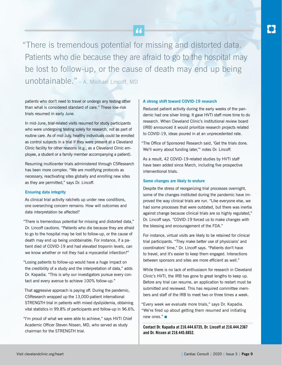"There is tremendous potential for missing and distorted data. Patients who die because they are afraid to go to the hospital may be lost to follow-up, or the cause of death may end up being unobtainable." – A. Michael Lincoff, MD

patients who don't need to travel or undergo any testing other than what is considered standard of care." These low-risk trials resumed in early June.

In mid-June, trial-related visits resumed for study participants who were undergoing testing solely for research, not as part of routine care. As of mid-July, healthy individuals could be enrolled as control subjects in a trial if they were present at a Cleveland Clinic facility for other reasons (e.g., as a Cleveland Clinic employee, a student or a family member accompanying a patient).

Resuming multicenter trials administered through C5Research has been more complex. "We are modifying protocols as necessary, reactivating sites globally and enrolling new sites as they are permitted," says Dr. Lincoff.

#### **Ensuring data integrity**

As clinical trial activity ratchets up under new conditions, one overarching concern remains: How will outcomes and data interpretation be affected?

"There is tremendous potential for missing and distorted data," Dr. Lincoff cautions. "Patients who die because they are afraid to go to the hospital may be lost to follow-up, or the cause of death may end up being unobtainable. For instance, if a patient died of COVID-19 and had elevated troponin levels, can we know whether or not they had a myocardial infarction?"

"Losing patients to follow-up would have a huge impact on the credibility of a study and the interpretation of data," adds Dr. Kapadia. "This is why our investigators pursue every contact and every avenue to achieve 100% follow-up."

That aggressive approach is paying off. During the pandemic, C5Research wrapped up the 13,000-patient international STRENGTH trial in patients with mixed dyslipidemia, obtaining vital statistics in 99.8% of participants and follow-up in 96.6%.

"I'm proud of what we were able to achieve," says HVTI Chief Academic Officer Steven Nissen, MD, who served as study chairman for the STRENGTH trial.

#### **A strong shift toward COVID-19 research**

Reduced patient activity during the early weeks of the pandemic had one silver lining: It gave HVTI staff more time to do research. When Cleveland Clinic's institutional review board (IRB) announced it would prioritize research projects related to COVID-19, ideas poured in at an unprecedented rate.

"The Office of Sponsored Research said, 'Get the trials done. We'll worry about funding later,'" notes Dr. Lincoff.

As a result, 42 COVID-19-related studies by HVTI staff have been added since March, including five prospective interventional trials.

#### **Some changes are likely to endure**

Despite the stress of reorganizing trial processes overnight, some of the changes instituted during the pandemic have improved the way clinical trials are run. "Like everyone else, we had some processes that were outdated, but there was inertia against change because clinical trials are so highly regulated," Dr. Lincoff says. "COVID-19 forced us to make changes with the blessing and encouragement of the FDA."

For instance, virtual visits are likely to be retained for clinical trial participants. "They make better use of physicians' and coordinators' time," Dr. Lincoff says. "Patients don't have to travel, and it's easier to keep them engaged. Interactions between sponsors and sites are more efficient as well."

While there is no lack of enthusiasm for research in Cleveland Clinic's HVTI, the IRB has gone to great lengths to keep up. Before any trial can resume, an application to restart must be submitted and reviewed. This has required committee members and staff of the IRB to meet two or three times a week.

"Every week we evaluate more trials," says Dr. Kapadia. "We're fired up about getting them resumed and initiating new ones." ■

**Contact Dr. Kapadia at 216.444.6735, Dr. Lincoff at 216.444.2367 and Dr. Nissen at 216.445.6852.**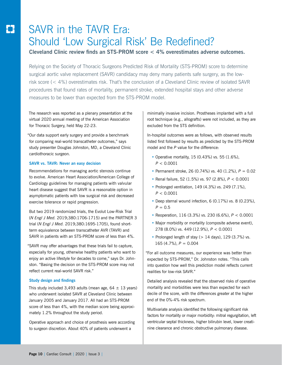# SAVR in the TAVR Era: Should 'Low Surgical Risk' Be Redefined?

**Cleveland Clinic review finds an STS-PROM score < 4% overestimates adverse outcomes.**

Relying on the Society of Thoracic Surgeons Predicted Risk of Mortality (STS-PROM) score to determine surgical aortic valve replacement (SAVR) candidacy may deny many patients safe surgery, as the lowrisk score (< 4%) overestimates risk. That's the conclusion of a Cleveland Clinic review of isolated SAVR procedures that found rates of mortality, permanent stroke, extended hospital stays and other adverse measures to be lower than expected from the STS-PROM model.

The research was reported as a plenary presentation at the virtual 2020 annual meeting of the American Association for Thoracic Surgery, held May 22-23.

"Our data support early surgery and provide a benchmark for comparing real-world transcatheter outcomes," says study presenter Douglas Johnston, MD, a Cleveland Clinic cardiothoracic surgeon.

#### **SAVR vs. TAVR: Never an easy decision**

Recommendations for managing aortic stenosis continue to evolve. American Heart Association/American College of Cardiology guidelines for managing patients with valvular heart disease suggest that SAVR is a reasonable option in asymptomatic patients with low surgical risk and decreased exercise tolerance or rapid progression.

But two 2019 randomized trials, the Evolut Low-Risk Trial (*N Engl J Med.* 2019;380:1706-1715) and the PARTNER 3 trial (*N Engl J Med.* 2019;380:1695-1705), found shortterm equivalence between transcatheter AVR (TAVR) and SAVR in patients with an STS-PROM score of less than 4%.

"SAVR may offer advantages that these trials fail to capture, especially for young, otherwise healthy patients who want to enjoy an active lifestyle for decades to come," says Dr. Johnston. "Basing the decision on the STS-PROM score may not reflect current real-world SAVR risk."

#### **Study design and findings**

This study included 3,493 adults (mean age,  $64 \pm 13$  years) who underwent isolated SAVR at Cleveland Clinic between January 2005 and January 2017. All had an STS-PROM score of less than 4%, with the median score being approximately 1.2% throughout the study period.

Operative approach and choice of prosthesis were according to surgeon discretion. About 40% of patients underwent a

minimally invasive incision. Prostheses implanted with a full root technique (e.g., allografts) were not included, as they are excluded from the STS definition.

In-hospital outcomes were as follows, with observed results listed first followed by results as predicted by the STS-PROM model and the *P* value for the difference:

- Operative mortality, 15 (0.43%) vs. 55 (1.6%),  $P < 0.0001$
- Permanent stroke, 26 (0.74%) vs. 40 (1.2%),  $P = 0.02$
- Renal failure, 52 (1.5%) vs. 97 (2.8%), *P* < 0.0001
- Prolonged ventilation, 149 (4.3%) vs. 249 (7.1%), *P* < 0.0001
- Deep sternal wound infection, 6 (0.17%) vs. 8 (0.23%),  $P = 0.5$
- Reoperation, 116 (3.3%) vs. 230 (6.6%), *P* < 0.0001
- Major morbidity or mortality (composite adverse event), 278 (8.0%) vs. 449 (12.9%), *P* < 0.0001
- Prolonged length of stay ( $> 14$  days), 129 (3.7%) vs.  $165 (4.7\%)$ ,  $P = 0.004$

"For all outcome measures, our experience was better than expected by STS-PROM," Dr. Johnston notes. "This calls into question how well this prediction model reflects current realities for low-risk SAVR."

Detailed analysis revealed that the observed risks of operative mortality and morbidities were less than expected for each decile of the score, with the differences greater at the higher end of the 0%-4% risk spectrum.

Multivariate analysis identified the following significant risk factors for mortality or major morbidity: mitral regurgitation, left ventricular septal thickness, higher bilirubin level, lower creatinine clearance and chronic obstructive pulmonary disease.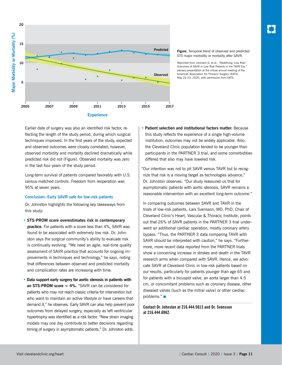

#### **Figure.** Temporal trend of observed and predicted STS major morbidity or mortality after SAVR.

Reprinted from Johnston D, et al., "Redefining 'Low Risk': Outcomes of SAVR in Low Risk Patients in the TAVR Era," plenary presentation at the virtual annual meeting of the American Association for Thoracic Surgery (AATS), May 22-23, 2020, with permission from AATS.

Earlier date of surgery was also an identified risk factor, reflecting the length of the study period, during which surgical techniques improved. In the first years of the study, expected and observed outcomes were closely correlated; however, observed morbidity and mortality declined dramatically while predicted risk did not (Figure). Observed mortality was zero in the last four years of the study period.

Long-term survival of patients compared favorably with U.S. census-matched controls. Freedom from reoperation was 95% at seven years.

#### **Conclusion: Early SAVR safe for low-risk patients**

Dr. Johnston highlights the following key takeaways from this study:

- **STS-PROM score overestimates risk in contemporary practice.** For patients with a score less than 4%, SAVR was found to be associated with extremely low risk. Dr. Johnston says the surgical community's ability to evaluate risk is continually evolving. "We need an agile, real-time quality assessment of SAVR practice that accounts for ongoing improvements in techniques and technology," he says, noting that differences between observed and predicted mortality and complication rates are increasing with time.
- **Data support early surgery for aortic stenosis in patients with an STS-PROM score < 4%.** "SAVR can be considered for patients who may not reach classic criteria for intervention but who want to maintain an active lifestyle or have careers that demand it," he observes. Early SAVR can also help prevent poor outcomes from delayed surgery, especially as left ventricular hypertrophy was identified as a risk factor. "New strain imaging models may one day contribute to better decisions regarding timing of surgery in asymptomatic patients," Dr. Johnston adds.

• **Patient selection and institutional factors matter.** Because this study reflects the experience of a single high-volume institution, outcomes may not be widely applicable. Also, the Cleveland Clinic population tended to be younger than participants in the PARTNER 3 trial, and some comorbidities differed that also may have lowered risk.

"Our intention was not to pit SAVR versus TAVR but to recognize that risk is a moving target as technologies advance," Dr. Johnston observes. "Our study reassured us that for asymptomatic patients with aortic stenosis, SAVR remains a reasonable intervention with an excellent long-term outcome."

In comparing outcomes between SAVR and TAVR in the trials of low-risk patients, Lars Svensson, MD, PhD, Chair of Cleveland Clinic's Heart, Vascular & Thoracic Institute, points out that 26% of SAVR patients in the PARTNER 3 trial underwent an additional cardiac operation, mostly coronary artery bypass. "Thus, the PARTNER 3 data comparing TAVR with SAVR should be interpreted with caution," he says. "Furthermore, more recent data reported from the PARTNER trials show a concerning increase in strokes and death in the TAVR research arms when compared with SAVR. Hence, we advocate SAVR at Cleveland Clinic in low-risk patients based on our results, particularly for patients younger than age 65 and for patients with a bicuspid valve, an aorta larger than 4.5 cm, or concomitant problems such as coronary disease, other diseased valves (such as the mitral valve) or other cardiac problems." ■

**Contact Dr. Johnston at 216.444.5613 and Dr. Svensson at 216.444.6962.**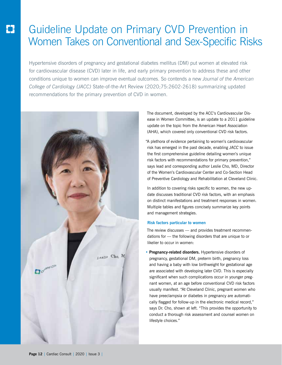# Guideline Update on Primary CVD Prevention in Women Takes on Conventional and Sex-Specific Risks

Hypertensive disorders of pregnancy and gestational diabetes mellitus (DM) put women at elevated risk for cardiovascular disease (CVD) later in life, and early primary prevention to address these and other conditions unique to women can improve eventual outcomes. So contends a new *Journal of the American College of Cardiology (JACC)* State-of-the-Art Review (2020;75:2602-2618) summarizing updated recommendations for the primary prevention of CVD in women.



The document, developed by the ACC's Cardiovascular Disease in Women Committee, is an update to a 2011 guideline update on the topic from the American Heart Association (AHA), which covered only conventional CVD risk factors.

"A plethora of evidence pertaining to women's cardiovascular risk has emerged in the past decade, enabling *JACC* to issue the first comprehensive guideline detailing women's unique risk factors with recommendations for primary prevention," says lead and corresponding author Leslie Cho, MD, Director of the Women's Cardiovascular Center and Co-Section Head of Preventive Cardiology and Rehabilitation at Cleveland Clinic.

In addition to covering risks specific to women, the new update discusses traditional CVD risk factors, with an emphasis on distinct manifestations and treatment responses in women. Multiple tables and figures concisely summarize key points and management strategies.

#### **Risk factors particular to women**

The review discusses — and provides treatment recommendations for — the following disorders that are unique to or likelier to occur in women:

**• Pregnancy-related disorders.** Hypertensive disorders of pregnancy, gestational DM, preterm birth, pregnancy loss and having a baby with low birthweight for gestational age are associated with developing later CVD. This is especially significant when such complications occur in younger pregnant women, at an age before conventional CVD risk factors usually manifest. "At Cleveland Clinic, pregnant women who have preeclampsia or diabetes in pregnancy are automatically flagged for follow-up in the electronic medical record," says Dr. Cho, shown at left. "This provides the opportunity to conduct a thorough risk assessment and counsel women on lifestyle choices."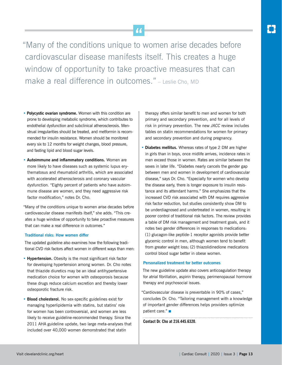"Many of the conditions unique to women arise decades before cardiovascular disease manifests itself. This creates a huge window of opportunity to take proactive measures that can make a real difference in outcomes." – Leslie Cho, MD

- **• Polycystic ovarian syndrome.** Women with this condition are prone to developing metabolic syndrome, which contributes to endothelial dysfunction and subclinical atherosclerosis. Menstrual irregularities should be treated, and metformin is recommended for insulin resistance. Women should be monitored every six to 12 months for weight changes, blood pressure, and fasting lipid and blood sugar levels.
- **• Autoimmune and inflammatory conditions.** Women are more likely to have diseases such as systemic lupus erythematosus and rheumatoid arthritis, which are associated with accelerated atherosclerosis and coronary vascular dysfunction. "Eighty percent of patients who have autoimmune disease are women, and they need aggressive risk factor modification," notes Dr. Cho.

"Many of the conditions unique to women arise decades before cardiovascular disease manifests itself," she adds. "This creates a huge window of opportunity to take proactive measures that can make a real difference in outcomes."

#### **Traditional risks: How women differ**

The updated guideline also examines how the following traditional CVD risk factors affect women in different ways than men:

- **• Hypertension.** Obesity is the most significant risk factor for developing hypertension among women. Dr. Cho notes that thiazide diuretics may be an ideal antihypertensive medication choice for women with osteoporosis because these drugs reduce calcium excretion and thereby lower osteoporotic fracture risk.
- **• Blood cholesterol.** No sex-specific guidelines exist for managing hyperlipidemia with statins, but statins' role for women has been controversial, and women are less likely to receive guideline-recommended therapy. Since the 2011 AHA guideline update, two large meta-analyses that included over 40,000 women demonstrated that statin

therapy offers similar benefit to men and women for both primary and secondary prevention, and for all levels of risk in primary prevention. The new *JACC* review includes tables on statin recommendations for women for primary and secondary prevention and during pregnancy.

**• Diabetes mellitus.** Whereas rates of type 2 DM are higher in girls than in boys, once midlife arrives, incidence rates in men exceed those in women. Rates are similar between the sexes in later life. "Diabetes nearly cancels the gender gap between men and women in development of cardiovascular disease," says Dr. Cho. "Especially for women who develop the disease early, there is longer exposure to insulin resistance and its attendant harms." She emphasizes that the increased CVD risk associated with DM requires aggressive risk factor reduction, but studies consistently show DM to be underdiagnosed and undertreated in women, resulting in poorer control of traditional risk factors. The review provides a table of DM risk management and treatment goals, and it notes two gender differences in responses to medications: (1) glucagon-like peptide-1 receptor agonists provide better glycemic control in men, although women tend to benefit from greater weight loss; (2) thiazolidinedione medications control blood sugar better in obese women.

#### **Personalized treatment for better outcomes**

The new guideline update also covers anticoagulation therapy for atrial fibrillation, aspirin therapy, perimenopausal hormone therapy and psychosocial issues.

"Cardiovascular disease is preventable in 90% of cases," concludes Dr. Cho. "Tailoring management with a knowledge of important gender differences helps providers optimize patient care." ■

**Contact Dr. Cho at 216.445.6320.**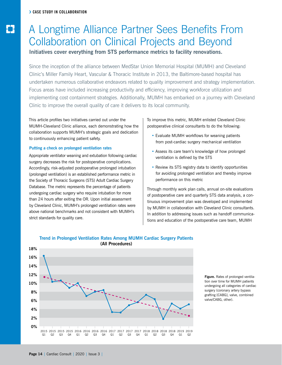# A Longtime Alliance Partner Sees Benefits From Collaboration on Clinical Projects and Beyond

**Initiatives cover everything from STS performance metrics to facility renovations.**

Since the inception of the alliance between MedStar Union Memorial Hospital (MUMH) and Cleveland Clinic's Miller Family Heart, Vascular & Thoracic Institute in 2013, the Baltimore-based hospital has undertaken numerous collaborative endeavors related to quality improvement and strategy implementation. Focus areas have included increasing productivity and efficiency, improving workforce utilization and implementing cost containment strategies. Additionally, MUMH has embarked on a journey with Cleveland Clinic to improve the overall quality of care it delivers to its local community.

This article profiles two initiatives carried out under the MUMH-Cleveland Clinic alliance, each demonstrating how the collaboration supports MUMH's strategic goals and dedication to continuously enhancing patient safety.

#### **Putting a check on prolonged ventilation rates**

Appropriate ventilator weaning and extubation following cardiac surgery decreases the risk for postoperative complications. Accordingly, risk-adjusted postoperative prolonged intubation (prolonged ventilation) is an established performance metric in the Society of Thoracic Surgeons (STS) Adult Cardiac Surgery Database. The metric represents the percentage of patients undergoing cardiac surgery who require intubation for more than 24 hours after exiting the OR. Upon initial assessment by Cleveland Clinic, MUMH's prolonged ventilation rates were above national benchmarks and not consistent with MUMH's strict standards for quality care.

To improve this metric, MUMH enlisted Cleveland Clinic postoperative clinical consultants to do the following:

- Evaluate MUMH workflows for weaning patients from post-cardiac surgery mechanical ventilation
- Assess its care team's knowledge of how prolonged ventilation is defined by the STS
- Review its STS registry data to identify opportunities for avoiding prolonged ventilation and thereby improve performance on this metric

Through monthly work plan calls, annual on-site evaluations of postoperative care and quarterly STS data analysis, a continuous improvement plan was developed and implemented by MUMH in collaboration with Cleveland Clinic consultants. In addition to addressing issues such as handoff communications and education of the postoperative care team, MUMH





**Figure.** Rates of prolonged ventilation over time for MUMH patients undergoing all categories of cardiac surgery (coronary artery bypass grafting [CABG], valve, combined valve/CABG, other).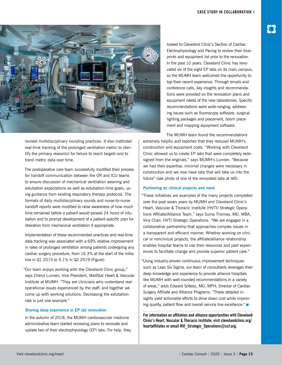

revised multidisciplinary rounding practices. It also instituted real-time tracking of the prolonged ventilation metric to identify the primary reason(s) for failure to reach targets and to trend metric data over time.

The postoperative care team successfully modified their process for handoff communication between the OR and ICU teams to ensure discussion of mechanical ventilation weaning and extubation expectations as well as extubation-time goals, using guidance from existing respiratory therapy protocols. The formats of daily multidisciplinary rounds and nurse-to-nurse handoff reports were modified to raise awareness of how much time remained before a patient would exceed 24 hours of intubation and to prompt development of a patient-specific plan for liberation from mechanical ventilation if appropriate.

Implementation of these recommended practices and real-time data tracking was associated with a 69% relative improvement in rates of prolonged ventilation among patients undergoing any cardiac surgery procedure, from 16.3% at the start of the initiative in Q1 2015 to 5.1% in Q2 2019 (Figure).

"Our team enjoys working with the Cleveland Clinic group," says Cheryl Lunnen, Vice President, MedStar Heart & Vascular Institute at MUMH. "They are clinicians who understand real operational issues experienced by the staff, and together we come up with working solutions. Decreasing the extubation rate is just one example."

#### **Sharing deep experience in EP lab renovation**

In the autumn of 2018, the MUMH cardiovascular medicine administrative team started reviewing plans to renovate and update two of their electrophysiology (EP) labs. For help, they

looked to Cleveland Clinic's Section of Cardiac Electrophysiology and Pacing to review their blueprints and equipment list prior to the renovation. In the past 10 years, Cleveland Clinic has renovated six of the eight EP labs on its main campus, so the MUMH team welcomed the opportunity to tap their recent experience. Through emails and conference calls, key insights and recommendations were provided on the renovation plans and equipment needs of the new laboratories. Specific recommendations were wide-ranging, addressing issues such as fluoroscopy software, surgical lighting packages and placement, boom placement and mapping equipment software.

The MUMH team found the recommendations extremely helpful and reported that they reduced MUMH's construction and equipment costs. "Working with Cleveland Clinic allowed us to create EP labs that were completely redesigned from the originals," says MUMH's Lunnen. "Because we had their expertise, minimal changes were necessary in construction and we now have labs that will take us into the future" (see photo of one of the renovated labs at left).

#### **Partnering on clinical projects and more**

"These initiatives are examples of the many projects completed over the past seven years by MUMH and Cleveland Clinic's Heart, Vascular & Thoracic Institute (HVTI) Strategic Operations Affiliate/Alliance Team," says Suma Thomas, MD, MBA, Vice Chair, HVTI Strategic Operations. "We are engaged in a collaborative partnership that approaches complex issues in a transparent and efficient manner. Whether working on clinical or nonclinical projects, the affiliate/alliance relationship enables hospital teams to use their resources and past experiences to facilitate change and provide superior patient care."

"Using industry-proven continuous improvement techniques such as Lean Six Sigma, our team of consultants leverages their deep knowledge and experience to provide alliance hospitals like MUMH with well-rounded recommendations in a variety of areas," adds Edward Soltesz, MD, MPH, Director of Cardiac Surgery Affiliate and Alliance Programs. "These detailed insights yield actionable efforts to drive down cost while improving quality, patient flow and overall service line excellence." ■

**For information on affiliation and alliance opportunities with Cleveland Clinic's Heart, Vascular & Thoracic Institute, visit clevelandclinic.org/ heartaffiliates or email HVI\_Strategic\_Operations@ccf.org.**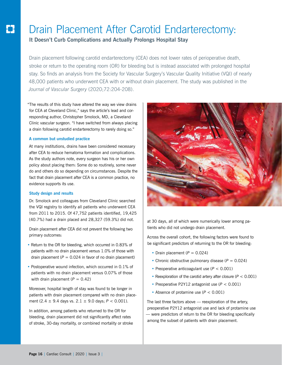## Drain Placement After Carotid Endarterectomy:

**It Doesn't Curb Complications and Actually Prolongs Hospital Stay**

Drain placement following carotid endarterectomy (CEA) does not lower rates of perioperative death, stroke or return to the operating room (OR) for bleeding but is instead associated with prolonged hospital stay. So finds an analysis from the Society for Vascular Surgery's Vascular Quality Initiative (VQI) of nearly 48,000 patients who underwent CEA with or without drain placement. The study was published in the *Journal of Vascular Surgery* (2020;72:204-208).

"The results of this study have altered the way we view drains for CEA at Cleveland Clinic," says the article's lead and corresponding author, Christopher Smolock, MD, a Cleveland Clinic vascular surgeon. "I have switched from always placing a drain following carotid endarterectomy to rarely doing so."

#### **A common but unstudied practice**

At many institutions, drains have been considered necessary after CEA to reduce hematoma formation and complications. As the study authors note, every surgeon has his or her own policy about placing them: Some do so routinely, some never do and others do so depending on circumstances. Despite the fact that drain placement after CEA is a common practice, no evidence supports its use.

#### **Study design and results**

Dr. Smolock and colleagues from Cleveland Clinic searched the VQI registry to identify all patients who underwent CEA from 2011 to 2015. Of 47,752 patients identified, 19,425 (40.7%) had a drain placed and 28,327 (59.3%) did not.

Drain placement after CEA did not prevent the following two primary outcomes:

- Return to the OR for bleeding, which occurred in 0.83% of patients with no drain placement versus 1.0% of those with drain placement  $(P = 0.024$  in favor of no drain placement)
- Postoperative wound infection, which occurred in 0.1% of patients with no drain placement versus 0.07% of those with drain placement  $(P = 0.42)$

Moreover, hospital length of stay was found to be longer in patients with drain placement compared with no drain placement (2.4 ± 9.4 days vs. 2.1 ± 9.0 days; *P* < 0.001).

In addition, among patients who returned to the OR for bleeding, drain placement did not significantly affect rates of stroke, 30-day mortality, or combined mortality or stroke



at 30 days, all of which were numerically lower among patients who did not undergo drain placement.

Across the overall cohort, the following factors were found to be significant predictors of returning to the OR for bleeding:

- Drain placement  $(P = 0.024)$
- Chronic obstructive pulmonary disease  $(P = 0.024)$
- Preoperative anticoagulant use (*P* < 0.001)
- Reexploration of the carotid artery after closure (*P* < 0.001)
- Preoperative P2Y12 antagonist use (*P* < 0.001)
- Absence of protamine use (*P* < 0.001)

The last three factors above — reexploration of the artery, preoperative P2Y12 antagonist use and lack of protamine use — were predictors of return to the OR for bleeding specifically among the subset of patients with drain placement.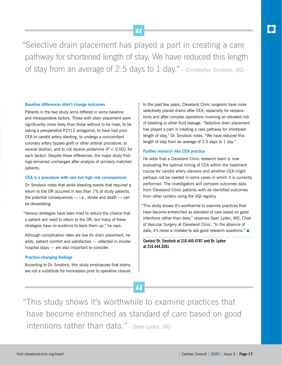"Selective drain placement has played a part in creating a care pathway for shortened length of stay. We have reduced this length of stay from an average of 2.5 days to 1 day." – Christopher Smolock, MD

#### **Baseline differences didn't change outcomes**

Patients in the two study arms differed in some baseline and intraoperative factors. Those with drain placement were significantly more likely than those without to be male, to be taking a preoperative P2Y12 antagonist, to have had prior CEA or carotid artery stenting, to undergo a concomitant coronary artery bypass graft or other arterial procedure, to receive dextran, and to not receive protamine (*P* < 0.001 for each factor). Despite these differences, the major study findings remained unchanged after analysis of similarly matched patients.

#### **CEA is a procedure with rare but high-risk consequences**

Dr. Smolock notes that while bleeding events that required a return to the OR occurred in less than 1% of study patients, the potential consequences — i.e., stroke and death — can be devastating.

"Various strategies have been tried to reduce the chance that a patient will need to return to the OR, but many of these strategies have no evidence to back them up," he says.

Although complication rates are low for drain placement, he adds, patient comfort and satisfaction — reflected in shorter hospital stays — are also important to consider.

#### **Practice-changing findings**

According to Dr. Smolock, this study emphasizes that drains are not a substitute for hemostasis prior to operative closure. In the past few years, Cleveland Clinic surgeons have more selectively placed drains after CEA, especially for reoperations and after complex operations involving an elevated risk of bleeding or other fluid leakage. "Selective drain placement has played a part in creating a care pathway for shortened length of stay," Dr. Smolock notes. "We have reduced this length of stay from an average of 2.5 days to 1 day."

#### **Further research into CEA practice**

He adds that a Cleveland Clinic research team is now evaluating the optimal timing of CEA within the treatment course for carotid artery stenosis and whether CEA might perhaps not be needed in some cases in which it is currently performed. The investigators will compare outcomes data from Cleveland Clinic patients with de-identified outcomes from other centers using the VQI registry.

"This study shows it's worthwhile to examine practices that have become entrenched as standard of care based on good intentions rather than data," observes Sean Lyden, MD, Chair of Vascular Surgery at Cleveland Clinic. "In the absence of data, it's never a mistake to ask good research questions." ■

**Contact Dr. Smolock at 216.445.4787 and Dr. Lyden at 216.444.3581.**

"This study shows it's worthwhile to examine practices that have become entrenched as standard of care based on good intentions rather than data." – Sean Lyden, MD

44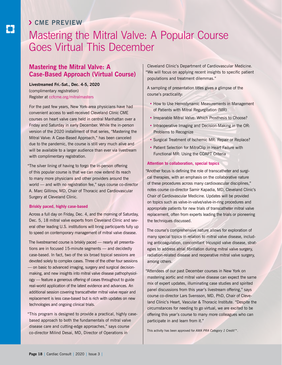# › **CME PREVIEW**

# Mastering the Mitral Valve: A Popular Course Goes Virtual This December

#### **Mastering the Mitral Valve: A Case-Based Approach (Virtual Course)**

**Livestreamed Fri.-Sat., Dec. 4-5, 2020** (complimentary registration) Register at ccfcme.org/mitralmasters

For the past few years, New York-area physicians have had convenient access to well-received Cleveland Clinic CME courses on heart valve care held in central Manhattan over a Friday and Saturday in early December. While the in-person version of the 2020 installment of that series, "Mastering the Mitral Valve: A Case-Based Approach," has been canceled due to the pandemic, the course is still very much alive and will be available to a larger audience than ever via livestream with complimentary registration.

"The silver lining of having to forgo the in-person offering of this popular course is that we can now extend its reach to many more physicians and other providers around the world — and with no registration fee," says course co-director A. Marc Gillinov, MD, Chair of Thoracic and Cardiovascular Surgery at Cleveland Clinic.

#### **Briskly paced, highly case-based**

Across a full day on Friday, Dec. 4, and the morning of Saturday, Dec. 5, 18 mitral valve experts from Cleveland Clinic and several other leading U.S. institutions will bring participants fully up to speed on contemporary management of mitral valve disease.

The livestreamed course is briskly paced — nearly all presentations are in focused 15-minute segments — and decidedly case-based. In fact, two of the six broad topical sessions are devoted solely to complex cases. Three of the other four sessions — on basic to advanced imaging, surgery and surgical decisionmaking, and new insights into mitral valve disease pathophysiology — feature a generous offering of cases throughout to guide real-world application of the latest evidence and advances. An additional session covering transcatheter mitral valve repair and replacement is less case-based but is rich with updates on new technologies and ongoing clinical trials.

"This program is designed to provide a practical, highly casebased approach to both the fundamentals of mitral valve disease care and cutting-edge approaches," says course co-director Milind Desai, MD, Director of Operations in

Cleveland Clinic's Department of Cardiovascular Medicine. "We will focus on applying recent insights to specific patient populations and treatment dilemmas."

A sampling of presentation titles gives a glimpse of the course's practicality:

- How to Use Hemodynamic Measurements in Management of Patients with Mitral Regurgitation (MR)
- Irreparable Mitral Valve: Which Prosthesis to Choose?
- Intraoperative Imaging and Decision-Making in the OR: Problems to Recognize
- Surgical Treatment of Ischemic MR: Repair or Replace?
- Patient Selection for MitraClip in Heart Failure with Functional MR: Using the COAPT Criteria

#### **Attention to collaboration, special topics**

"Another focus is defining the role of transcatheter and surgical therapies, with an emphasis on the collaborative nature of these procedures across many cardiovascular disciplines," notes course co-director Samir Kapadia, MD, Cleveland Clinic's Chair of Cardiovascular Medicine. Updates will be provided on topics such as valve-in-valve/valve-in-ring procedures and appropriate patients for new trials of transcatheter mitral valve replacement, often from experts leading the trials or pioneering the techniques discussed.

The course's comprehensive nature allows for exploration of many special topics in relation to mitral valve disease, including anticoagulation, concomitant tricuspid valve disease, strategies to address atrial fibrillation during mitral valve surgery, radiation-related disease and reoperative mitral valve surgery, among others.

"Attendees of our past December courses in New York on mastering aortic and mitral valve disease can expect the same mix of expert updates, illuminating case studies and spirited panel discussions from this year's livestream offering," says course co-director Lars Svensson, MD, PhD, Chair of Cleveland Clinic's Heart, Vascular & Thoracic Institute. "Despite the circumstances for needing to go virtual, we are excited to be offering this year's course to many more colleagues who can participate in and learn from it."

This activity has been approved for *AMA PRA Category 1 Credit™*.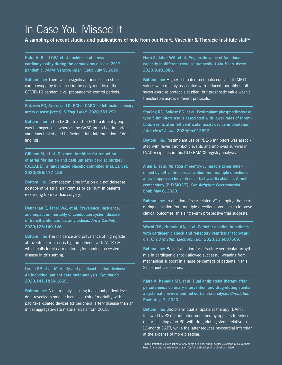# In Case You Missed It

**A sampling of recent studies and publications of note from our Heart, Vascular & Thoracic Institute staff\***

**Kalra A, Reed GW, et al. Incidence of stress cardiomyopathy during the coronavirus disease 2019 pandemic.** *JAMA Network Open.* **Epub July 9, 2020.** 

**Bottom line:** There was a significant increase in stress cardiomyopathy incidence in the early months of the COVID-19 pandemic vs. prepandemic control periods.

**Bakaeen FG, Svensson LG. PCI or CABG for left main coronary artery disease [letter].** *N Engl J Med.* **2020;383:292.** 

**Bottom line:** In the EXCEL trial, the PCI treatment group was homogeneous whereas the CABG group had important variations that should be factored into interpretation of data findings.

**Gillinov M, et al. Dexmedetomidine for reduction of atrial fibrillation and delirium after cardiac surgery (DECADE): a randomized placebo-controlled trial.** *Lancet.* **2020;396:177-185.**

**Bottom line:** Dexmedetomidine infusion did not decrease postoperative atrial arrhythmias or delirium in patients recovering from cardiac surgery.

**Donnellan E, Jaber WA, et al. Prevalence, incidence, and impact on mortality of conduction system disease in transthyretin cardiac amyloidosis.** *Am J Cardiol.*  **2020;128:140-146.**

**Bottom line:** The incidence and prevalence of high-grade atrioventricular block is high in patients with ATTR-CA, which calls for close monitoring for conduction system disease in this setting.

**Lyden SP, et al. Mortality and paclitaxel-coated devices: An individual patient data meta-analysis.** *Circulation.*  **2020;141:1859-1869.**

**Bottom line:** A meta-analysis using individual patient-level data revealed a smaller increased risk of mortality with paclitaxel-coated devices for peripheral artery disease than an initial aggregate-data meta-analysis from 2018.

**Harb S, Jaber WA, et al. Prognostic value of functional capacity in different exercise protocols.** *J Am Heart Assoc.* **2020;9:e01986.**

**Bottom line:** Higher estimated metabolic equivalent (MET) values were reliably associated with reduced mortality in all seven exercise protocols studied, but prognostic value wasn't transferable across different protocols.

**Starling RC, Soltesz EG, et al. Postimplant phosphodiesterase type 5 inhibitors use is associated with lower rates of thrombotic events after left ventricular assist device implantation.**  *J Am Heart Assoc.* **2020;9:e015897.**

**Bottom line:** Postimplant use of PDE-5 inhibitors was associated with fewer thrombotic events and improved survival in LVAD recipients in this INTERMACS registry analysis.

**Anter E, et al. Ablation of reentry-vulnerable zones determined by left ventricular activation from multiple directions: a novel approach for ventricular tachycardia ablation. A multicenter study (PHYSIO-VT).** *Circ Arrhythm Electrophysiol.* **Epub May 6, 2020.**

**Bottom line:** In ablation of scar-related VT, mapping the heart during activation from multiple directions promises to improve clinical outcomes, this single-arm prospective trial suggests.

**Wazni OM, Hussain AA, et al. Catheter ablation in patients with cardiogenic shock and refractory ventricular tachycardia.** *Circ Arrhythm Electrophysiol.* **2020;13:e007669.**

**Bottom line:** Bailout ablation for refractory ventricular arrhythmia in cardiogenic shock allowed successful weaning from mechanical support in a large percentage of patients in this 21-patient case series.

**Kalra A, Kapadia SR, et al. Dual antiplatelet therapy after percutaneous coronary intervention and drug-eluting stents: a systematic review and network meta-analysis.** *Circulation.*  **Epub Aug. 3, 2020.** 

**Bottom line:** Short-term dual antiplatelet therapy (DAPT) followed by P2Y12 inhibitor monotherapy appears to reduce major bleeding after PCI with drug-eluting stents relative to 12-month DAPT, while the latter reduces myocardial infarction at the expense of more bleeding.

\*Space limitations allow listing of only some principal and/or senior Cleveland Clinic authors here. Check out the reference citation for full authorship of publications listed.